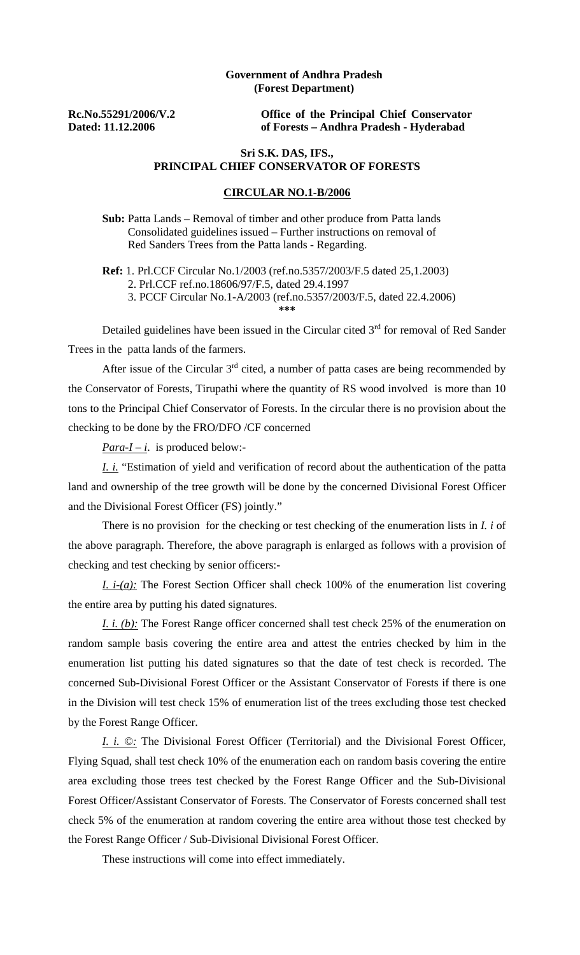## **Government of Andhra Pradesh (Forest Department)**

**Rc.No.55291/2006/V.2 Dated: 11.12.2006** 

**Office of the Principal Chief Conservator of Forests – Andhra Pradesh - Hyderabad** 

## **Sri S.K. DAS, IFS., PRINCIPAL CHIEF CONSERVATOR OF FORESTS**

## **CIRCULAR NO.1-B/2006**

 **Sub:** Patta Lands – Removal of timber and other produce from Patta lands Consolidated guidelines issued – Further instructions on removal of Red Sanders Trees from the Patta lands - Regarding.

 **Ref:** 1. Prl.CCF Circular No.1/2003 (ref.no.5357/2003/F.5 dated 25,1.2003) 2. Prl.CCF ref.no.18606/97/F.5, dated 29.4.1997 3. PCCF Circular No.1-A/2003 (ref.no.5357/2003/F.5, dated 22.4.2006) **\*\*\*** 

Detailed guidelines have been issued in the Circular cited 3<sup>rd</sup> for removal of Red Sander Trees in the patta lands of the farmers.

After issue of the Circular  $3<sup>rd</sup>$  cited, a number of patta cases are being recommended by the Conservator of Forests, Tirupathi where the quantity of RS wood involved is more than 10 tons to the Principal Chief Conservator of Forests. In the circular there is no provision about the checking to be done by the FRO/DFO /CF concerned

*Para-I – i*. is produced below:-

*I. i.* "Estimation of yield and verification of record about the authentication of the patta land and ownership of the tree growth will be done by the concerned Divisional Forest Officer and the Divisional Forest Officer (FS) jointly."

 There is no provision for the checking or test checking of the enumeration lists in *I. i* of the above paragraph. Therefore, the above paragraph is enlarged as follows with a provision of checking and test checking by senior officers:-

*I. i-(a):* The Forest Section Officer shall check 100% of the enumeration list covering the entire area by putting his dated signatures.

*I. i. (b):* The Forest Range officer concerned shall test check 25% of the enumeration on random sample basis covering the entire area and attest the entries checked by him in the enumeration list putting his dated signatures so that the date of test check is recorded. The concerned Sub-Divisional Forest Officer or the Assistant Conservator of Forests if there is one in the Division will test check 15% of enumeration list of the trees excluding those test checked by the Forest Range Officer.

*I. i. ©:* The Divisional Forest Officer (Territorial) and the Divisional Forest Officer, Flying Squad, shall test check 10% of the enumeration each on random basis covering the entire area excluding those trees test checked by the Forest Range Officer and the Sub-Divisional Forest Officer/Assistant Conservator of Forests. The Conservator of Forests concerned shall test check 5% of the enumeration at random covering the entire area without those test checked by the Forest Range Officer / Sub-Divisional Divisional Forest Officer.

These instructions will come into effect immediately.